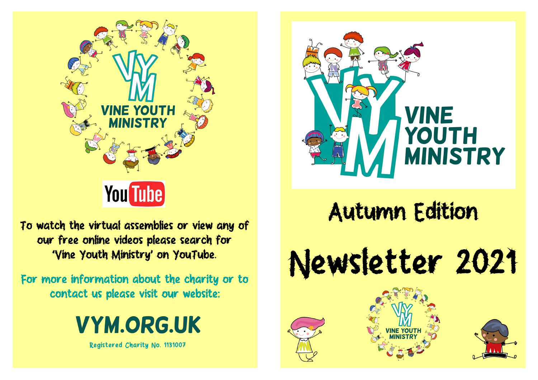

To watch the virtual assemblies or view any of our free online videos please search for 'Vine Youth Ministry' on YouTube.

For more information about the charity or to contact us please visit our website:







## Autumn Edition

Newsletter 2021